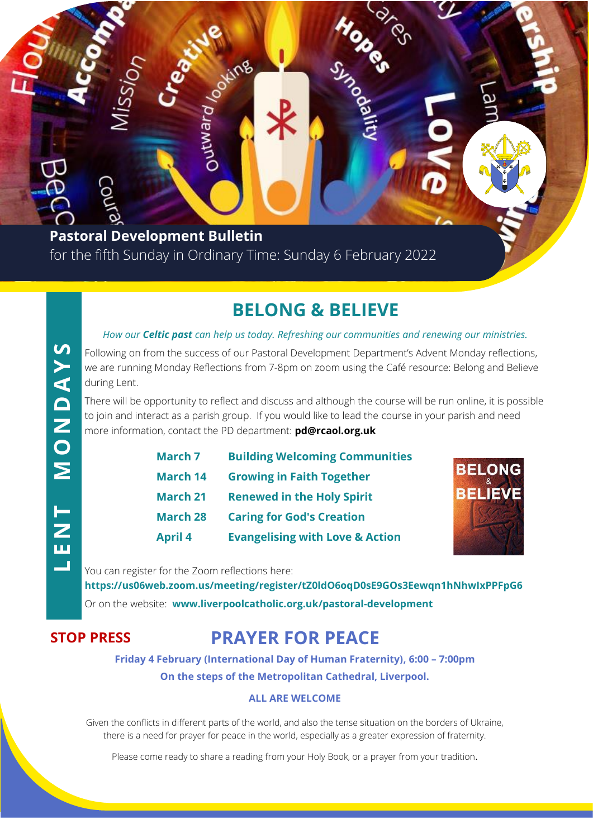**Pastoral Development Bulletin** for the fifth Sunday in Ordinary Time: Sunday 6 February 2022

puewit

### **BELONG & BELIEVE**

**HOOKS CONSIDER** 

#### *How our Celtic past can help us today. Refreshing our communities and renewing our ministries.*

Following on from the success of our Pastoral Development Department's Advent Monday reflections, we are running Monday Reflections from 7-8pm on zoom using the Café resource: Belong and Believe during Lent.

There will be opportunity to reflect and discuss and although the course will be run online, it is possible to join and interact as a parish group. If you would like to lead the course in your parish and need more information, contact the PD department: **pd@rcaol.org.uk**

| <b>March 7</b>  | <b>Building Welcoming Communities</b>      |
|-----------------|--------------------------------------------|
| <b>March 14</b> | <b>Growing in Faith Together</b>           |
| <b>March 21</b> | <b>Renewed in the Holy Spirit</b>          |
| <b>March 28</b> | <b>Caring for God's Creation</b>           |
| <b>April 4</b>  | <b>Evangelising with Love &amp; Action</b> |



You can register for the Zoom reflections here:

**https://us06web.zoom.us/meeting/register/tZ0ldO6oqD0sE9GOs3Eewqn1hNhwIxPPFpG6** Or on the website: **www.liverpoolcatholic.org.uk/pastoral-development**

### **STOP PRESS**

### **PRAYER FOR PEACE**

**Friday 4 February (International Day of Human Fraternity), 6:00 – 7:00pm**

### **On the steps of the Metropolitan Cathedral, Liverpool.**

#### **ALL ARE WELCOME**

Given the conflicts in different parts of the world, and also the tense situation on the borders of Ukraine, there is a need for prayer for peace in the world, especially as a greater expression of fraternity.

Please come ready to share a reading from your Holy Book, or a prayer from your tradition.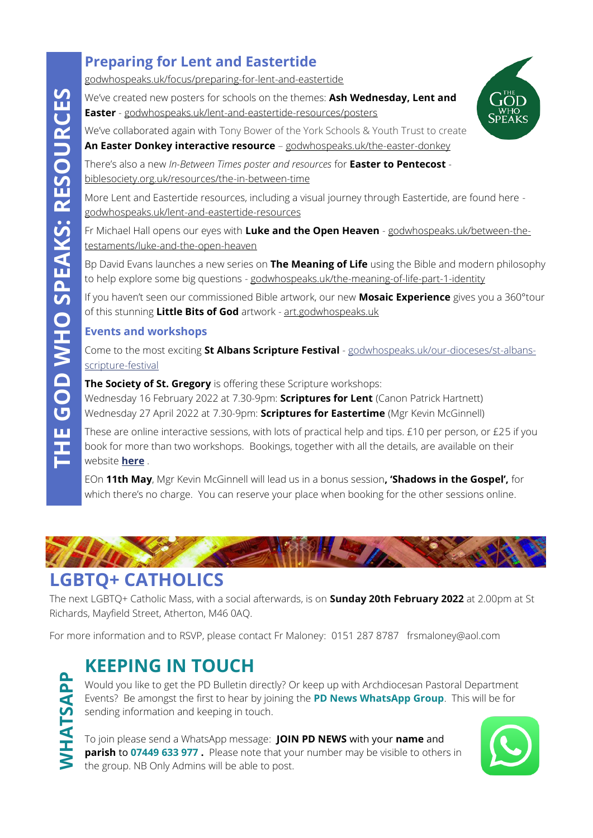### **Preparing for Lent and Eastertide**

[godwhospeaks.uk/focus/preparing-for-lent-and-eastertide](https://www.godwhospeaks.uk/the-god-who-speaks/focus/preparing-for-lent-and-eastertide/)

We've created new posters for schools on the themes: **Ash Wednesday, Lent and Easter** - [godwhospeaks.uk/lent-and-eastertide-resources/posters](https://www.godwhospeaks.uk/the-god-who-speaks/focus/preparing-for-lent-and-eastertide/lent-and-eastertide-resources/posters/)

We've collaborated again with Tony Bower of the York Schools & Youth Trust to create

**An Easter Donkey interactive resource** – [godwhospeaks.uk/the-easter-donkey](https://www.godwhospeaks.uk/the-god-who-speaks/focus/preparing-for-lent-and-eastertide/lent-and-eastertide-resources/the-easter-donkey/)

There's also a new *In-Between Times poster and resources* for **Easter to Pentecost**  [biblesociety.org.uk/resources/the-in-between-time](https://www.biblesociety.org.uk/resources/the-in-between-time/)

More Lent and Eastertide resources, including a visual journey through Eastertide, are found here [godwhospeaks.uk/lent-and-eastertide-resources](https://www.godwhospeaks.uk/the-god-who-speaks/focus/preparing-for-lent-and-eastertide/lent-and-eastertide-resources/)

Fr Michael Hall opens our eyes with **Luke and the Open Heaven** - [godwhospeaks.uk/between-the](https://www.godwhospeaks.uk/the-god-who-speaks/bible-basics/scripture-seekers/between-the-testaments/luke-and-the-open-heaven/)[testaments/luke-and-the-open-heaven](https://www.godwhospeaks.uk/the-god-who-speaks/bible-basics/scripture-seekers/between-the-testaments/luke-and-the-open-heaven/)

Bp David Evans launches a new series on **The Meaning of Life** using the Bible and modern philosophy to help explore some big questions - [godwhospeaks.uk/the-meaning-of-life-part-1-identity](https://www.godwhospeaks.uk/the-god-who-speaks/focus/preparing-for-lent-and-eastertide/the-meaning-of-life-part-1-identity/)

If you haven't seen our commissioned Bible artwork, our new **Mosaic Experience** gives you a 360°tour of this stunning **Little Bits of God** artwork - [art.godwhospeaks.uk](https://art.godwhospeaks.uk/)

#### **Events and workshops**

Come to the most exciting **St Albans Scripture Festival** - [godwhospeaks.uk/our-dioceses/st-albans](https://www.godwhospeaks.uk/the-god-who-speaks/our-dioceses/st-albans-scripture-festival/)[scripture-festival](https://www.godwhospeaks.uk/the-god-who-speaks/our-dioceses/st-albans-scripture-festival/)

**The Society of St. Gregory** is offering these Scripture workshops:

Wednesday 16 February 2022 at 7.30-9pm: **Scriptures for Lent** (Canon Patrick Hartnett) Wednesday 27 April 2022 at 7.30-9pm: **Scriptures for Eastertime** (Mgr Kevin McGinnell)

These are online interactive sessions, with lots of practical help and tips. £10 per person, or £25 if you book for more than two workshops. Bookings, together with all the details, are available on their website **[here](https://www.ssg.org.uk/wednesday-workshops-2022/)** .

EOn **11th May**, Mgr Kevin McGinnell will lead us in a bonus session**, 'Shadows in the Gospel',** for which there's no charge. You can reserve your place when booking for the other sessions online.



### **LGBTQ+ CATHOLICS**

The next LGBTQ+ Catholic Mass, with a social afterwards, is on **Sunday 20th February 2022** at 2.00pm at St Richards, Mayfield Street, Atherton, M46 0AQ.

For more information and to RSVP, please contact Fr Maloney: 0151 287 8787 [frsmaloney@aol.com](mailto:frsmaloney@aol.com)

### **KEEPING IN TOUCH**

**WHATSAPP**

Would you like to get the PD Bulletin directly? Or keep up with Archdiocesan Pastoral Department Events? Be amongst the first to hear by joining the **PD News WhatsApp Group**. This will be for sending information and keeping in touch.

To join please send a WhatsApp message: **JOIN PD NEWS** with your **name** and **parish to 07449 633 977.** Please note that your number may be visible to others in the group. NB Only Admins will be able to post.